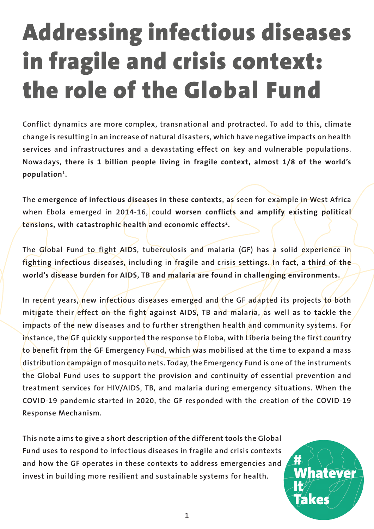## Addressing infectious diseases in fragile and crisis context: the role of the Global Fund

**Conflict dynamics are more complex, transnational and protracted. To add to this, climate change is resulting in an increase of natural disasters, which have negative impacts on health services and infrastructures and a devastating effect on key and vulnerable populations. Nowadays, there is 1 billion people living in fragile context, almost 1/8 of the world's population1.**

**The emergence of infectious diseases in these contexts, as seen for example in West Africa when Ebola emerged in 2014-16, could worsen conflicts and amplify existing political tensions, with catastrophic health and economic effects2.**

**The Global Fund to fight AIDS, tuberculosis and malaria (GF) has a solid experience in fighting infectious diseases, including in fragile and crisis settings. In fact, a third of the world's disease burden for AIDS, TB and malaria are found in challenging environments.**

In recent years, new infectious diseases emerged and the GF adapted its projects to both mitigate their effect on the fight against AIDS, TB and malaria, as well as to tackle the impacts of the new diseases and to further strengthen health and community systems. For **instance, the GF quickly supported the response to Eloba, with Liberia being the first country to benefit from the GF Emergency Fund, which was mobilised at the time to expand a mass distribution campaign of mosquito nets. Today, the Emergency Fund is one of the instruments the Global Fund uses to support the provision and continuity of essential prevention and treatment services for HIV/AIDS, TB, and malaria during emergency situations. When the COVID-19 pandemic started in 2020, the GF responded with the creation of the COVID-19 Response Mechanism.**

**This note aims to give a short description of the different tools the Global Fund uses to respond to infectious diseases in fragile and crisis contexts and how the GF operates in these contexts to address emergencies and invest in building more resilient and sustainable systems for health.**

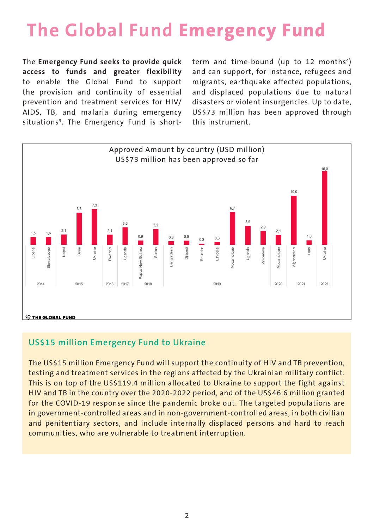## **The Global Fund Emergency Fund**

The **Emergency Fund seeks to provide quick access to funds and greater flexibility** to enable the Global Fund to support the provision and continuity of essential prevention and treatment services for HIV/ AIDS, TB, and malaria during emergency situations<sup>3</sup>. The Emergency Fund is shortterm and time-bound (up to 12 months<sup>4</sup>) and can support, for instance, refugees and migrants, earthquake affected populations, and displaced populations due to natural disasters or violent insurgencies. Up to date, US\$73 million has been approved through this instrument.



#### **US\$15 million Emergency Fund to Ukraine**

The US\$15 million Emergency Fund will support the continuity of HIV and TB prevention, testing and treatment services in the regions affected by the Ukrainian military conflict. This is on top of the US\$119.4 million allocated to Ukraine to support the fight against HIV and TB in the country over the 2020-2022 period, and of the US\$46.6 million granted for the COVID-19 response since the pandemic broke out. The targeted populations are in government-controlled areas and in non-government-controlled areas, in both civilian and penitentiary sectors, and include internally displaced persons and hard to reach communities, who are vulnerable to treatment interruption.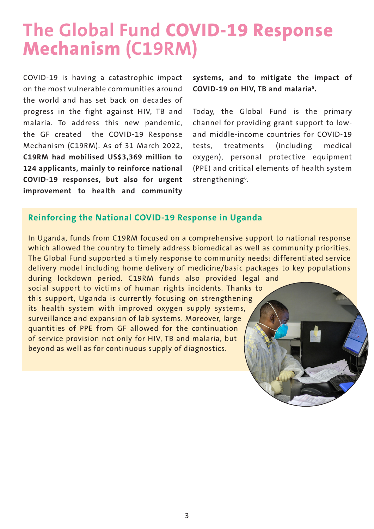## **The Global Fund COVID-19 Response Mechanism (C19RM)**

COVID-19 is having a catastrophic impact on the most vulnerable communities around the world and has set back on decades of progress in the fight against HIV, TB and malaria. To address this new pandemic, the GF created the COVID-19 Response Mechanism (C19RM). As of 31 March 2022, **C19RM had mobilised US\$3,369 million to 124 applicants, mainly to reinforce national COVID-19 responses, but also for urgent improvement to health and community** 

**systems, and to mitigate the impact of COVID-19 on HIV, TB and malaria5.**

Today, the Global Fund is the primary channel for providing grant support to lowand middle-income countries for COVID-19 tests, treatments (including medical oxygen), personal protective equipment (PPE) and critical elements of health system strengthening<sup>6</sup>.

#### **Reinforcing the National COVID-19 Response in Uganda**

In Uganda, funds from C19RM focused on a comprehensive support to national response which allowed the country to timely address biomedical as well as community priorities. The Global Fund supported a timely response to community needs: differentiated service delivery model including home delivery of medicine/basic packages to key populations

during lockdown period. C19RM funds also provided legal and social support to victims of human rights incidents. Thanks to this support, Uganda is currently focusing on strengthening its health system with improved oxygen supply systems, surveillance and expansion of lab systems. Moreover, large quantities of PPE from GF allowed for the continuation of service provision not only for HIV, TB and malaria, but beyond as well as for continuous supply of diagnostics.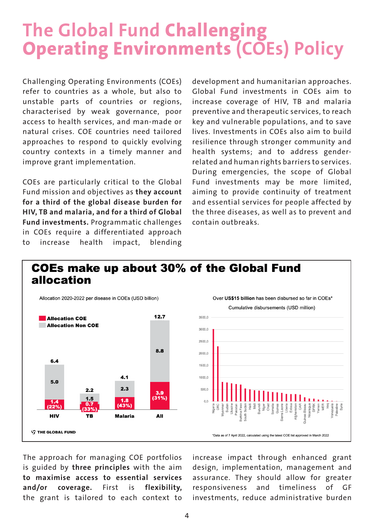# **The Global Fund Challenging Operating Environments (COEs) Policy**

Challenging Operating Environments (COEs) refer to countries as a whole, but also to unstable parts of countries or regions, characterised by weak governance, poor access to health services, and man-made or natural crises. COE countries need tailored approaches to respond to quickly evolving country contexts in a timely manner and improve grant implementation.

COEs are particularly critical to the Global Fund mission and objectives as **they account for a third of the global disease burden for HIV, TB and malaria, and for a third of Global Fund investments.** Programmatic challenges in COEs require a differentiated approach to increase health impact, blending

development and humanitarian approaches. Global Fund investments in COEs aim to increase coverage of HIV, TB and malaria preventive and therapeutic services, to reach key and vulnerable populations, and to save lives. Investments in COEs also aim to build resilience through stronger community and health systems; and to address genderrelated and human rights barriers to services. During emergencies, the scope of Global Fund investments may be more limited, aiming to provide continuity of treatment and essential services for people affected by the three diseases, as well as to prevent and contain outbreaks.

#### **COEs make up about 30% of the Global Fund** allocation



The approach for managing COE portfolios is guided by **three principles** with the aim **to maximise access to essential services and/or coverage.** First is **flexibility,** the grant is tailored to each context to

increase impact through enhanced grant design, implementation, management and assurance. They should allow for greater responsiveness and timeliness of GF investments, reduce administrative burden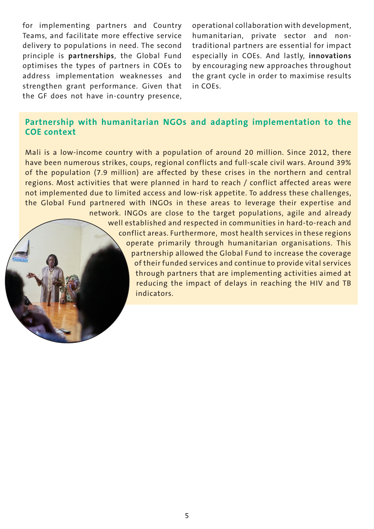for implementing partners and Country Teams, and facilitate more effective service delivery to populations in need. The second principle is **partnerships**, the Global Fund optimises the types of partners in COEs to address implementation weaknesses and strengthen grant performance. Given that the GF does not have in-country presence, operational collaboration with development, humanitarian, private sector and nontraditional partners are essential for impact especially in COEs. And lastly, **innovations**  by encouraging new approaches throughout the grant cycle in order to maximise results in COEs.

#### **Partnership with humanitarian NGOs and adapting implementation to the COE context**

Mali is a low-income country with a population of around 20 million. Since 2012, there have been numerous strikes, coups, regional conflicts and full-scale civil wars. Around 39% of the population (7.9 million) are affected by these crises in the northern and central regions. Most activities that were planned in hard to reach / conflict affected areas were not implemented due to limited access and low-risk appetite. To address these challenges, the Global Fund partnered with INGOs in these areas to leverage their expertise and network. INGOs are close to the target populations, agile and already well established and respected in communities in hard-to-reach and conflict areas. Furthermore, most health services in these regions operate primarily through humanitarian organisations. This partnership allowed the Global Fund to increase the coverage of their funded services and continue to provide vital services through partners that are implementing activities aimed at reducing the impact of delays in reaching the HIV and TB indicators.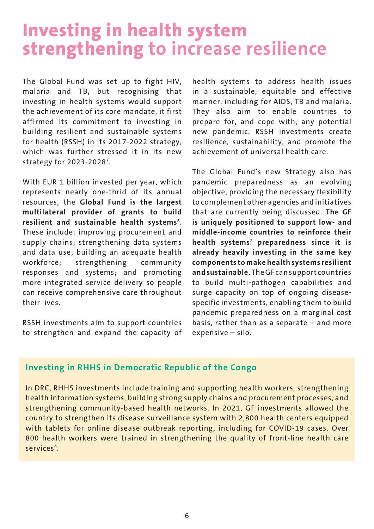### **Investing in health system strengthening to increase resilience**

The Global Fund was set up to fight HIV, malaria and TB, but recognising that investing in health systems would support the achievement of its core mandate, it first affirmed its commitment to investing in building resilient and sustainable systems for health (RSSH) in its 2017-2022 strategy, which was further stressed it in its new strategy for 2023-20287.

With EUR 1 billion invested per year, which represents nearly one-thrid of its annual resources, the **Global Fund is the largest multilateral provider of grants to build resilient and sustainable health systems8**. These include: improving procurement and supply chains; strengthening data systems and data use; building an adequate health workforce; strengthening community responses and systems; and promoting more integrated service delivery so people can receive comprehensive care throughout their lives.

RSSH investments aim to support countries to strengthen and expand the capacity of health systems to address health issues in a sustainable, equitable and effective manner, including for AIDS, TB and malaria. They also aim to enable countries to prepare for, and cope with, any potential new pandemic. RSSH investments create resilience, sustainability, and promote the achievement of universal health care.

The Global Fund's new Strategy also has pandemic preparedness as an evolving objective, providing the necessary flexibility to complement other agencies and initiatives that are currently being discussed. **The GF is uniquely positioned to support low- and middle-income countries to reinforce their health systems' preparedness since it is already heavily investing in the same key components to make health systems resilient and sustainable.** The GF can support countries to build multi-pathogen capabilities and surge capacity on top of ongoing diseasespecific investments, enabling them to build pandemic preparedness on a marginal cost basis, rather than as a separate – and more expensive – silo.

#### **Investing in RHHS in Democratic Republic of the Congo**

In DRC, RHHS investments include training and supporting health workers, strengthening health information systems, building strong supply chains and procurement processes, and strengthening community-based health networks. In 2021, GF investments allowed the country to strengthen its disease surveillance system with 2,800 health centers equipped with tablets for online disease outbreak reporting, including for COVID-19 cases. Over 800 health workers were trained in strengthening the quality of front-line health care services9.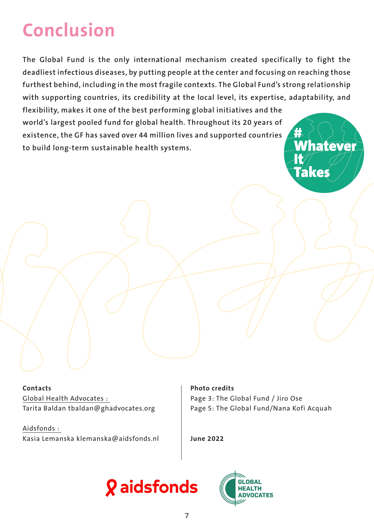## **Conclusion**

**The Global Fund is the only international mechanism created specifically to fight the deadliest infectious diseases, by putting people at the center and focusing on reaching those furthest behind, including in the most fragile contexts. The Global Fund's strong relationship with supporting countries, its credibility at the local level, its expertise, adaptability, and** 

**flexibility, makes it one of the best performing global initiatives and the world's largest pooled fund for global health. Throughout its 20 years of existence, the GF has saved over 44 million lives and supported countries to build long-term sustainable health systems.**

**Contacts** Global Health Advocates : Tarita Baldan tbaldan@ghadvocates.org

Aidsfonds : Kasia Lemanska klemanska@aidsfonds.nl **Photo credits** Page 3: The Global Fund / Jiro Ose Page 5: The Global Fund/Nana Kofi Acquah

Whatever

**akes** 

**June 2022**